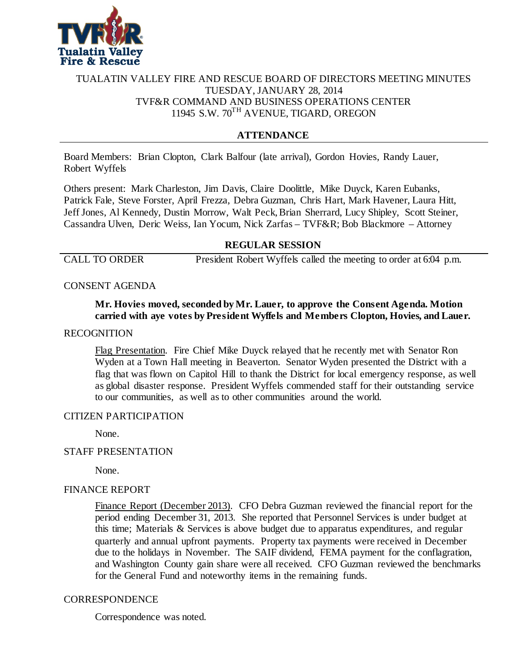

## TUALATIN VALLEY FIRE AND RESCUE BOARD OF DIRECTORS MEETING MINUTES TUESDAY, JANUARY 28, 2014 TVF&R COMMAND AND BUSINESS OPERATIONS CENTER 11945 S.W. 70TH AVENUE, TIGARD, OREGON

# **ATTENDANCE**

Board Members: Brian Clopton, Clark Balfour (late arrival), Gordon Hovies, Randy Lauer, Robert Wyffels

Others present: Mark Charleston, Jim Davis, Claire Doolittle, Mike Duyck, Karen Eubanks, Patrick Fale, Steve Forster, April Frezza, Debra Guzman, Chris Hart, Mark Havener, Laura Hitt, Jeff Jones, Al Kennedy, Dustin Morrow, Walt Peck, Brian Sherrard, Lucy Shipley, Scott Steiner, Cassandra Ulven, Deric Weiss, Ian Yocum, Nick Zarfas – TVF&R; Bob Blackmore – Attorney

### **REGULAR SESSION**

CALL TO ORDER President Robert Wyffels called the meeting to order at 6:04 p.m.

### CONSENT AGENDA

## **Mr. Hovies moved, seconded by Mr. Lauer, to approve the Consent Agenda. Motion carried with aye votes by President Wyffels and Members Clopton, Hovies, and Lauer.**

#### RECOGNITION

Flag Presentation. Fire Chief Mike Duyck relayed that he recently met with Senator Ron Wyden at a Town Hall meeting in Beaverton. Senator Wyden presented the District with a flag that was flown on Capitol Hill to thank the District for local emergency response, as well as global disaster response. President Wyffels commended staff for their outstanding service to our communities, as well as to other communities around the world.

#### CITIZEN PARTICIPATION

None.

#### STAFF PRESENTATION

None.

#### FINANCE REPORT

Finance Report (December 2013). CFO Debra Guzman reviewed the financial report for the period ending December 31, 2013. She reported that Personnel Services is under budget at this time; Materials & Services is above budget due to apparatus expenditures, and regular quarterly and annual upfront payments. Property tax payments were received in December due to the holidays in November. The SAIF dividend, FEMA payment for the conflagration, and Washington County gain share were all received. CFO Guzman reviewed the benchmarks for the General Fund and noteworthy items in the remaining funds.

### **CORRESPONDENCE**

Correspondence was noted.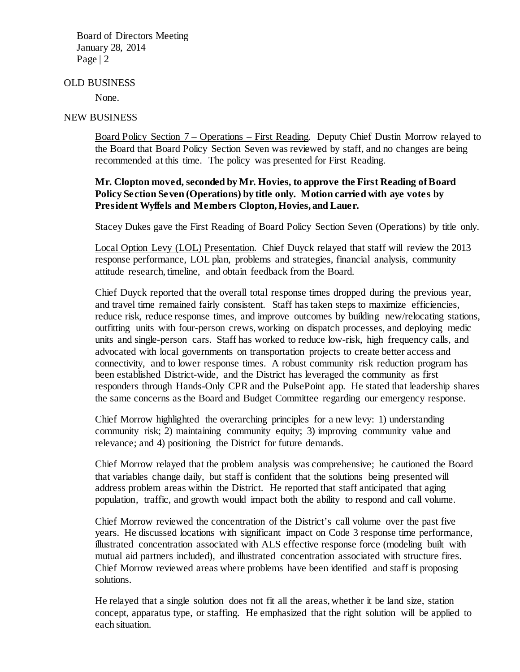#### OLD BUSINESS

None.

### NEW BUSINESS

Board Policy Section 7 – Operations – First Reading. Deputy Chief Dustin Morrow relayed to the Board that Board Policy Section Seven was reviewed by staff, and no changes are being recommended at this time. The policy was presented for First Reading.

## **Mr. Clopton moved, seconded by Mr. Hovies, to approve the First Reading of Board Policy Section Seven (Operations) by title only. Motion carried with aye votes by President Wyffels and Members Clopton, Hovies, and Lauer.**

Stacey Dukes gave the First Reading of Board Policy Section Seven (Operations) by title only.

Local Option Levy (LOL) Presentation. Chief Duyck relayed that staff will review the 2013 response performance, LOL plan, problems and strategies, financial analysis, community attitude research, timeline, and obtain feedback from the Board.

Chief Duyck reported that the overall total response times dropped during the previous year, and travel time remained fairly consistent. Staff has taken steps to maximize efficiencies, reduce risk, reduce response times, and improve outcomes by building new/relocating stations, outfitting units with four-person crews, working on dispatch processes, and deploying medic units and single-person cars. Staff has worked to reduce low-risk, high frequency calls, and advocated with local governments on transportation projects to create better access and connectivity, and to lower response times. A robust community risk reduction program has been established District-wide, and the District has leveraged the community as first responders through Hands-Only CPR and the PulsePoint app. He stated that leadership shares the same concerns as the Board and Budget Committee regarding our emergency response.

Chief Morrow highlighted the overarching principles for a new levy: 1) understanding community risk; 2) maintaining community equity; 3) improving community value and relevance; and 4) positioning the District for future demands.

Chief Morrow relayed that the problem analysis was comprehensive; he cautioned the Board that variables change daily, but staff is confident that the solutions being presented will address problem areas within the District. He reported that staff anticipated that aging population, traffic, and growth would impact both the ability to respond and call volume.

Chief Morrow reviewed the concentration of the District's call volume over the past five years. He discussed locations with significant impact on Code 3 response time performance, illustrated concentration associated with ALS effective response force (modeling built with mutual aid partners included), and illustrated concentration associated with structure fires. Chief Morrow reviewed areas where problems have been identified and staff is proposing solutions.

He relayed that a single solution does not fit all the areas, whether it be land size, station concept, apparatus type, or staffing. He emphasized that the right solution will be applied to each situation.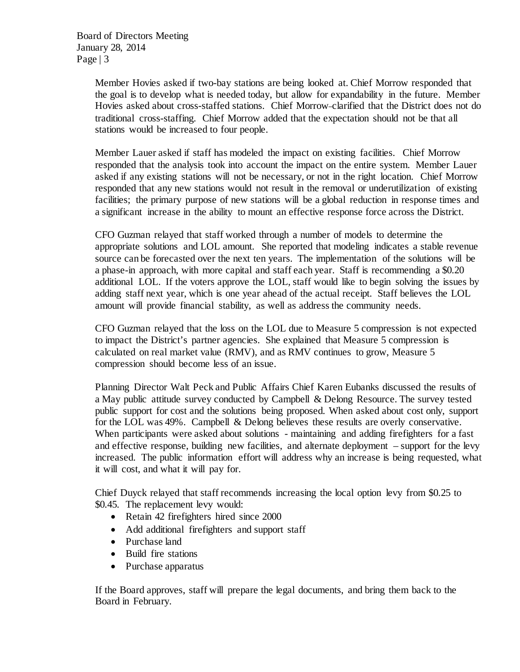> Member Hovies asked if two-bay stations are being looked at. Chief Morrow responded that the goal is to develop what is needed today, but allow for expandability in the future. Member Hovies asked about cross-staffed stations. Chief Morrow clarified that the District does not do traditional cross-staffing. Chief Morrow added that the expectation should not be that all stations would be increased to four people.

> Member Lauer asked if staff has modeled the impact on existing facilities. Chief Morrow responded that the analysis took into account the impact on the entire system. Member Lauer asked if any existing stations will not be necessary, or not in the right location. Chief Morrow responded that any new stations would not result in the removal or underutilization of existing facilities; the primary purpose of new stations will be a global reduction in response times and a significant increase in the ability to mount an effective response force across the District.

> CFO Guzman relayed that staff worked through a number of models to determine the appropriate solutions and LOL amount. She reported that modeling indicates a stable revenue source can be forecasted over the next ten years. The implementation of the solutions will be a phase-in approach, with more capital and staff each year. Staff is recommending a \$0.20 additional LOL. If the voters approve the LOL, staff would like to begin solving the issues by adding staff next year, which is one year ahead of the actual receipt. Staff believes the LOL amount will provide financial stability, as well as address the community needs.

> CFO Guzman relayed that the loss on the LOL due to Measure 5 compression is not expected to impact the District's partner agencies. She explained that Measure 5 compression is calculated on real market value (RMV), and as RMV continues to grow, Measure 5 compression should become less of an issue.

Planning Director Walt Peck and Public Affairs Chief Karen Eubanks discussed the results of a May public attitude survey conducted by Campbell & Delong Resource. The survey tested public support for cost and the solutions being proposed. When asked about cost only, support for the LOL was 49%. Campbell & Delong believes these results are overly conservative. When participants were asked about solutions - maintaining and adding firefighters for a fast and effective response, building new facilities, and alternate deployment – support for the levy increased. The public information effort will address why an increase is being requested, what it will cost, and what it will pay for.

Chief Duyck relayed that staff recommends increasing the local option levy from \$0.25 to \$0.45. The replacement levy would:

- Retain 42 firefighters hired since 2000
- Add additional firefighters and support staff
- Purchase land
- Build fire stations
- Purchase apparatus

If the Board approves, staff will prepare the legal documents, and bring them back to the Board in February.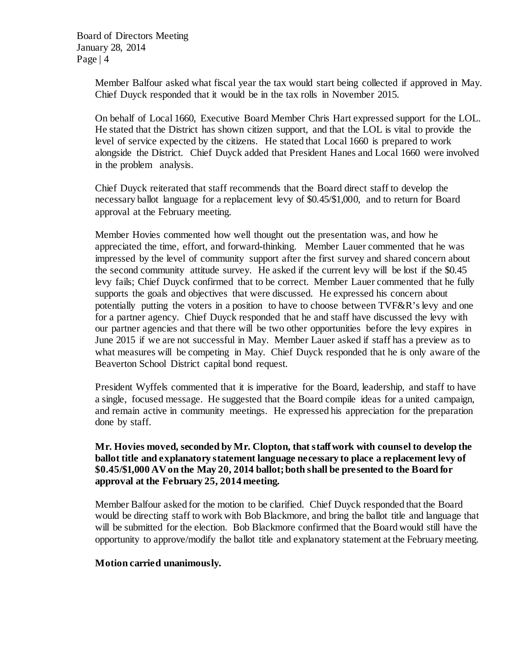> Member Balfour asked what fiscal year the tax would start being collected if approved in May. Chief Duyck responded that it would be in the tax rolls in November 2015.

> On behalf of Local 1660, Executive Board Member Chris Hart expressed support for the LOL. He stated that the District has shown citizen support, and that the LOL is vital to provide the level of service expected by the citizens. He stated that Local 1660 is prepared to work alongside the District. Chief Duyck added that President Hanes and Local 1660 were involved in the problem analysis.

Chief Duyck reiterated that staff recommends that the Board direct staff to develop the necessary ballot language for a replacement levy of \$0.45/\$1,000, and to return for Board approval at the February meeting.

Member Hovies commented how well thought out the presentation was, and how he appreciated the time, effort, and forward-thinking. Member Lauer commented that he was impressed by the level of community support after the first survey and shared concern about the second community attitude survey. He asked if the current levy will be lost if the \$0.45 levy fails; Chief Duyck confirmed that to be correct. Member Lauer commented that he fully supports the goals and objectives that were discussed. He expressed his concern about potentially putting the voters in a position to have to choose between TVF&R's levy and one for a partner agency. Chief Duyck responded that he and staff have discussed the levy with our partner agencies and that there will be two other opportunities before the levy expires in June 2015 if we are not successful in May. Member Lauer asked if staff has a preview as to what measures will be competing in May. Chief Duyck responded that he is only aware of the Beaverton School District capital bond request.

President Wyffels commented that it is imperative for the Board, leadership, and staff to have a single, focused message. He suggested that the Board compile ideas for a united campaign, and remain active in community meetings. He expressed his appreciation for the preparation done by staff.

## **Mr. Hovies moved, seconded by Mr. Clopton, that staff work with counsel to develop the ballot title and explanatory statement language necessary to place a replacement levy of \$0.45/\$1,000 AV on the May 20, 2014 ballot; both shall be presented to the Board for approval at the February 25, 2014 meeting.**

Member Balfour asked for the motion to be clarified. Chief Duyck responded that the Board would be directing staff to work with Bob Blackmore, and bring the ballot title and language that will be submitted for the election. Bob Blackmore confirmed that the Board would still have the opportunity to approve/modify the ballot title and explanatory statement at the February meeting.

### **Motion carried unanimously.**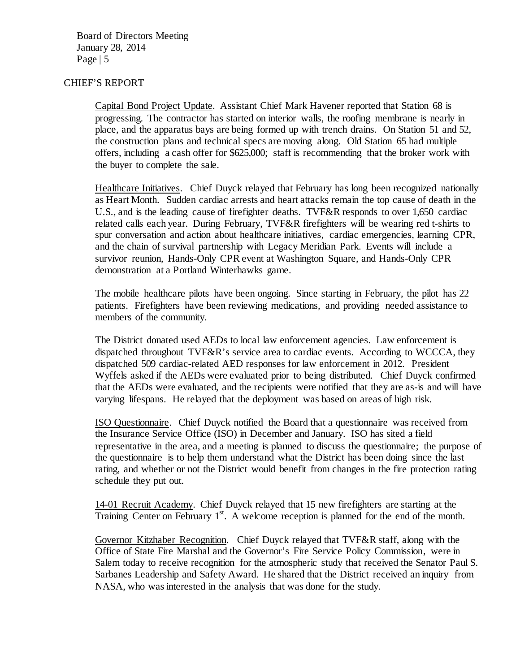### CHIEF'S REPORT

Capital Bond Project Update. Assistant Chief Mark Havener reported that Station 68 is progressing. The contractor has started on interior walls, the roofing membrane is nearly in place, and the apparatus bays are being formed up with trench drains. On Station 51 and 52, the construction plans and technical specs are moving along. Old Station 65 had multiple offers, including a cash offer for \$625,000; staff is recommending that the broker work with the buyer to complete the sale.

Healthcare Initiatives. Chief Duyck relayed that February has long been recognized nationally as Heart Month. Sudden cardiac arrests and heart attacks remain the top cause of death in the U.S., and is the leading cause of firefighter deaths. TVF&R responds to over 1,650 cardiac related calls each year. During February, TVF&R firefighters will be wearing red t-shirts to spur conversation and action about healthcare initiatives, cardiac emergencies, learning CPR, and the chain of survival partnership with Legacy Meridian Park. Events will include a survivor reunion, Hands-Only CPR event at Washington Square, and Hands-Only CPR demonstration at a Portland Winterhawks game.

The mobile healthcare pilots have been ongoing. Since starting in February, the pilot has 22 patients. Firefighters have been reviewing medications, and providing needed assistance to members of the community.

The District donated used AEDs to local law enforcement agencies. Law enforcement is dispatched throughout TVF&R's service area to cardiac events. According to WCCCA, they dispatched 509 cardiac-related AED responses for law enforcement in 2012. President Wyffels asked if the AEDs were evaluated prior to being distributed. Chief Duyck confirmed that the AEDs were evaluated, and the recipients were notified that they are as-is and will have varying lifespans. He relayed that the deployment was based on areas of high risk.

ISO Questionnaire. Chief Duyck notified the Board that a questionnaire was received from the Insurance Service Office (ISO) in December and January. ISO has sited a field representative in the area, and a meeting is planned to discuss the questionnaire; the purpose of the questionnaire is to help them understand what the District has been doing since the last rating, and whether or not the District would benefit from changes in the fire protection rating schedule they put out.

14-01 Recruit Academy. Chief Duyck relayed that 15 new firefighters are starting at the Training Center on February  $1<sup>st</sup>$ . A welcome reception is planned for the end of the month.

Governor Kitzhaber Recognition. Chief Duyck relayed that TVF&R staff, along with the Office of State Fire Marshal and the Governor's Fire Service Policy Commission, were in Salem today to receive recognition for the atmospheric study that received the Senator Paul S. Sarbanes Leadership and Safety Award. He shared that the District received an inquiry from NASA, who was interested in the analysis that was done for the study.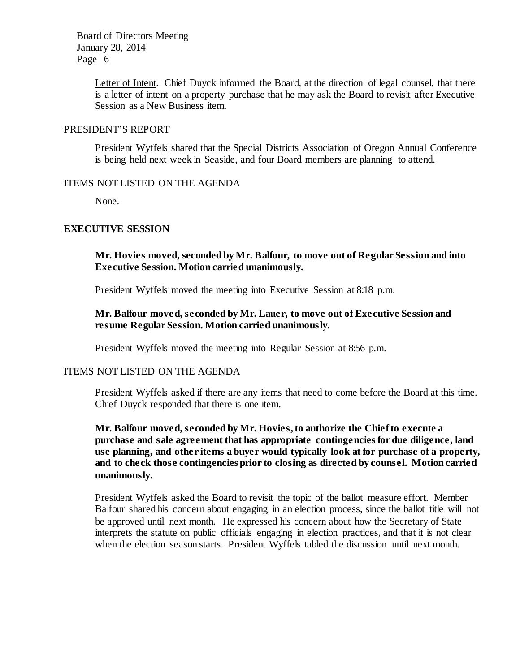Board of Directors Meeting January 28, 2014 Page  $\vert 6 \vert$ 

> Letter of Intent. Chief Duyck informed the Board, at the direction of legal counsel, that there is a letter of intent on a property purchase that he may ask the Board to revisit after Executive Session as a New Business item.

### PRESIDENT'S REPORT

President Wyffels shared that the Special Districts Association of Oregon Annual Conference is being held next week in Seaside, and four Board members are planning to attend.

#### ITEMS NOT LISTED ON THE AGENDA

None.

## **EXECUTIVE SESSION**

## **Mr. Hovies moved, seconded by Mr. Balfour, to move out of Regular Session and into Executive Session. Motion carried unanimously.**

President Wyffels moved the meeting into Executive Session at 8:18 p.m.

### **Mr. Balfour moved, seconded by Mr. Lauer, to move out of Executive Session and resume Regular Session. Motion carried unanimously.**

President Wyffels moved the meeting into Regular Session at 8:56 p.m.

### ITEMS NOT LISTED ON THE AGENDA

President Wyffels asked if there are any items that need to come before the Board at this time. Chief Duyck responded that there is one item.

## **Mr. Balfour moved, seconded by Mr. Hovies, to authorize the Chief to execute a purchase and sale agreement that has appropriate contingencies for due diligence, land use planning, and other items a buyer would typically look at for purchase of a property, and to check those contingencies prior to closing as directed by counsel. Motion carried unanimously.**

President Wyffels asked the Board to revisit the topic of the ballot measure effort. Member Balfour shared his concern about engaging in an election process, since the ballot title will not be approved until next month. He expressed his concern about how the Secretary of State interprets the statute on public officials engaging in election practices, and that it is not clear when the election season starts. President Wyffels tabled the discussion until next month.